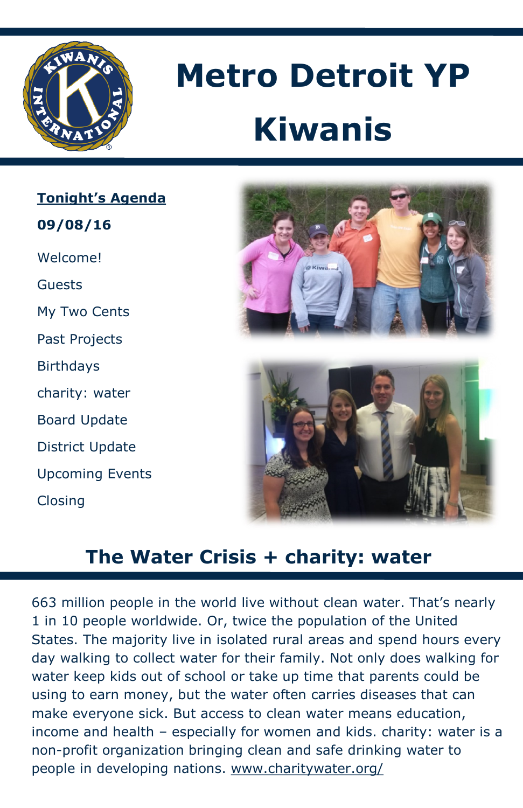

# **Metro Detroit YP Kiwanis**

## **Tonight's Agenda**

**09/08/16** 

Welcome!

Guests

My Two Cents

Past Projects

**Birthdays** 

charity: water

Board Update

District Update

Upcoming Events

Closing





# **The Water Crisis + charity: water**

663 million people in the world live without clean water. That's nearly 1 in 10 people worldwide. Or, twice the population of the United States. The majority live in isolated rural areas and spend hours every day walking to collect water for their family. Not only does walking for water keep kids out of school or take up time that parents could be using to earn money, but the water often carries diseases that can make everyone sick. But access to clean water means education, income and health – especially for women and kids. charity: water is a non-profit organization bringing clean and safe drinking water to people in developing nations. www.charitywater.org/